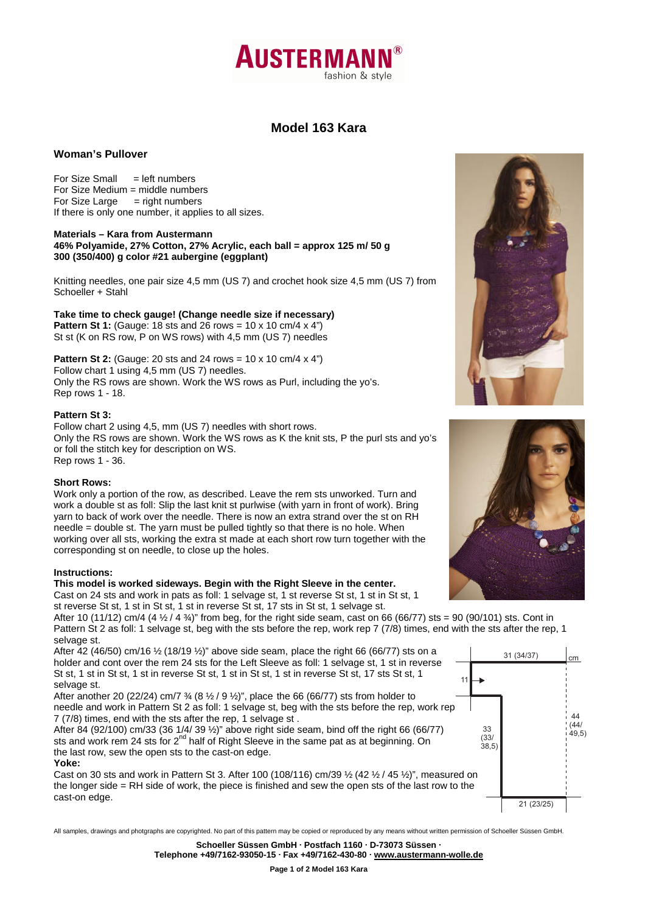

# **Model 163 Kara**

# **Woman's Pullover**

For Size Small  $=$  left numbers For Size Medium = middle numbers For Size Large  $=$  right numbers If there is only one number, it applies to all sizes.

#### **Materials – Kara from Austermann 46% Polyamide, 27% Cotton, 27% Acrylic, each ball = approx 125 m/ 50 g 300 (350/400) g color #21 aubergine (eggplant)**

Knitting needles, one pair size 4,5 mm (US 7) and crochet hook size 4,5 mm (US 7) from Schoeller + Stahl

**Take time to check gauge! (Change needle size if necessary) Pattern St 1:** (Gauge: 18 sts and 26 rows = 10 x 10 cm/4 x 4") St st (K on RS row, P on WS rows) with 4,5 mm (US 7) needles

**Pattern St 2:** (Gauge: 20 sts and 24 rows = 10 x 10 cm/4 x 4") Follow chart 1 using 4,5 mm (US 7) needles. Only the RS rows are shown. Work the WS rows as Purl, including the yo's. Rep rows 1 - 18.

# **Pattern St 3:**

Follow chart 2 using 4,5, mm (US 7) needles with short rows. Only the RS rows are shown. Work the WS rows as K the knit sts, P the purl sts and yo's or foll the stitch key for description on WS. Rep rows 1 - 36.

# **Short Rows:**

Work only a portion of the row, as described. Leave the rem sts unworked. Turn and work a double st as foll: Slip the last knit st purlwise (with yarn in front of work). Bring yarn to back of work over the needle. There is now an extra strand over the st on RH needle = double st. The yarn must be pulled tightly so that there is no hole. When working over all sts, working the extra st made at each short row turn together with the corresponding st on needle, to close up the holes.

#### **Instructions:**

#### **This model is worked sideways. Begin with the Right Sleeve in the center.**

Cast on 24 sts and work in pats as foll: 1 selvage st, 1 st reverse St st, 1 st in St st, 1 st reverse St st, 1 st in St st, 1 st in reverse St st, 17 sts in St st, 1 selvage st.

After 10 (11/12) cm/4 (4  $\frac{1}{2}$  / 4  $\frac{3}{4}$ )" from beg, for the right side seam, cast on 66 (66/77) sts = 90 (90/101) sts. Cont in Pattern St 2 as foll: 1 selvage st, beg with the sts before the rep, work rep 7 (7/8) times, end with the sts after the rep, 1 selvage st.

After 42 (46/50) cm/16  $\frac{1}{2}$  (18/19  $\frac{1}{2}$ )" above side seam, place the right 66 (66/77) sts on a holder and cont over the rem 24 sts for the Left Sleeve as foll: 1 selvage st, 1 st in reverse St st, 1 st in St st, 1 st in reverse St st, 1 st in St st, 1 st in reverse St st, 17 sts St st, 1 selvage st.

After another 20 (22/24) cm/7  $\frac{3}{4}$  (8  $\frac{1}{2}$  / 9  $\frac{1}{2}$ )", place the 66 (66/77) sts from holder to needle and work in Pattern St 2 as foll: 1 selvage st, beg with the sts before the rep, work rep 7 (7/8) times, end with the sts after the rep, 1 selvage st .

After 84 (92/100) cm/33 (36 1/4/ 39 ½)" above right side seam, bind off the right 66 (66/77) sts and work rem 24 sts for 2<sup>nd</sup> half of Right Sleeve in the same pat as at beginning. On the last row, sew the open sts to the cast-on edge.

## **Yoke:**

Cast on 30 sts and work in Pattern St 3. After 100 (108/116) cm/39  $\frac{1}{2}$  (42  $\frac{1}{2}$  / 45  $\frac{1}{2}$ )", measured on the longer side = RH side of work, the piece is finished and sew the open sts of the last row to the cast-on edge.



All samples, drawings and photgraphs are copyrighted. No part of this pattern may be copied or reproduced by any means without written permission of Schoeller Süssen GmbH.